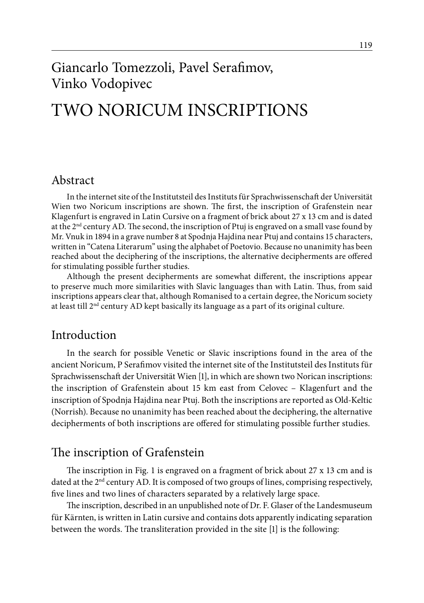# Giancarlo Tomezzoli, Pavel Serafimov, Vinko Vodopivec

# TWO NORICUM INSCRIPTIONS

#### Abstract

In the internet site of the Institutsteil des Instituts für Sprachwissenschaft der Universität Wien two Noricum inscriptions are shown. The first, the inscription of Grafenstein near Klagenfurt is engraved in Latin Cursive on a fragment of brick about 27 x 13 cm and is dated at the 2nd century AD. The second, the inscription of Ptuj is engraved on a small vase found by Mr. Vnuk in 1894 in a grave number 8 at Spodnja Hajdina near Ptuj and contains 15 characters, written in "Catena Literarum" using the alphabet of Poetovio. Because no unanimity has been reached about the deciphering of the inscriptions, the alternative decipherments are offered for stimulating possible further studies.

Although the present decipherments are somewhat different, the inscriptions appear to preserve much more similarities with Slavic languages than with Latin. Thus, from said inscriptions appears clear that, although Romanised to a certain degree, the Noricum society at least till  $2<sup>nd</sup>$  century AD kept basically its language as a part of its original culture.

### Introduction

In the search for possible Venetic or Slavic inscriptions found in the area of the ancient Noricum, P Serafimov visited the internet site of the Institutsteil des Instituts für Sprachwissenschaft der Universität Wien [1], in which are shown two Norican inscriptions: the inscription of Grafenstein about 15 km east from Celovec – Klagenfurt and the inscription of Spodnja Hajdina near Ptuj. Both the inscriptions are reported as Old-Keltic (Norrish). Because no unanimity has been reached about the deciphering, the alternative decipherments of both inscriptions are offered for stimulating possible further studies.

### The inscription of Grafenstein

The inscription in Fig. 1 is engraved on a fragment of brick about 27 x 13 cm and is dated at the  $2<sup>nd</sup>$  century AD. It is composed of two groups of lines, comprising respectively, five lines and two lines of characters separated by a relatively large space.

The inscription, described in an unpublished note of Dr. F. Glaser of the Landesmuseum für Kärnten, is written in Latin cursive and contains dots apparently indicating separation between the words. The transliteration provided in the site [1] is the following: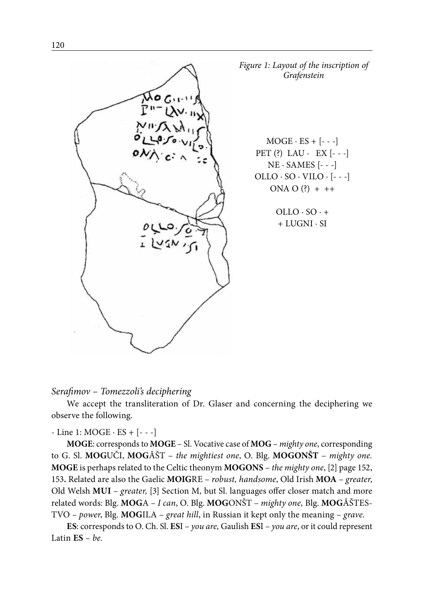

*Figure 1: Layout of the inscription of Grafenstein*

> $MOGE \cdot ES + [- -]$ PET  $(?)$  LAU  $·$  EX  $[- -]$  $NE \cdot SAMES$  [---]  $OLLO \cdot SO \cdot VILO \cdot [- - -]$ ONA O  $(?) + + +$

> > $OLLO \cdot SO \cdot +$ + LUGNI · SI

*Serafimov – Tomezzoli's deciphering* 

We accept the transliteration of Dr. Glaser and concerning the deciphering we observe the following.

- Line 1: MOGE · ES + [- - -]

**MOGE**: corresponds to **MOGE** – Sl. Vocative case of **MOG** – *mighty one*, corresponding to G. Sl. **MOG**UČI, **MOG**ĂŠT – *the mightiest one*, O. Blg. **MOGONŠT** – *mighty one.* **MOGE** is perhaps related to the Celtic theonym **MOGONS** – *the mighty one*, [2] page 152, 153**.** Related are also the Gaelic **MOIG**RE – *robust, handsome*, Old Irish **MOA** – *greater*, Old Welsh **MUI** *– greater,* [3] Section M*,* but Sl. languages offer closer match and more related words: Blg. **MOG**A – *I can*, O. Blg. **MOG**ONŠT – *mighty one,* Blg. **MOG**ĂŠTES-TVO *– power*, Blg. **MOG**ILA – *great hill*, in Russian it kept only the meaning – *grave*.

**ES**: corresponds to O. Ch. Sl. **ES**I – *you are,* Gaulish **ES**I – *you are*, or it could represent Latin **ES** – *be.*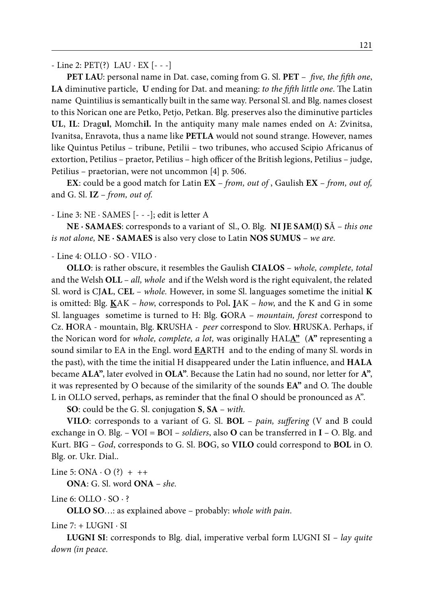- Line 2: PET(?) LAU · EX [- - -]

**PET LAU**: personal name in Dat. case, coming from G. Sl. **PET** – *five, the fifth one*, **LA** diminutive particle, **U** ending for Dat. and meaning: *to the fifth little one*. The Latin name Quintilius is semantically built in the same way. Personal Sl. and Blg. names closest to this Norican one are Petko, Petjo, Petkan. Blg. preserves also the diminutive particles **UL**, **IL**: Drag**ul**, Momch**il.** In the antiquity many male names ended on A: Zvinitsa, Ivanitsa, Enravota, thus a name like **PETLA** would not sound strange. However, names like Quintus Petilus – tribune, Petilii – two tribunes, who accused Scipio Africanus of extortion, Petilius – praetor, Petilius – high officer of the British legions, Petilius – judge, Petilius – praetorian, were not uncommon [4] p. 506.

**EX**: could be a good match for Latin **EX** – *from, out of* , Gaulish **EX** – *from, out of,* and G. Sl. **IZ** – *from, out of*.

- Line 3: NE · SAMES [- - -]; edit is letter A

**NE · SAMAES**: corresponds to a variant of Sl., O. Blg. **NI JE SAM(I) S**Ă – *this one is not alone,* **NE · SAMAES** is also very close to Latin **NOS SUMUS** – *we are.*

- Line 4: OLLO · SO · VILO ·

**OLLO**: is rather obscure, it resembles the Gaulish **CIALOS** – *whole, complete, total* and the Welsh **OLL** – *all, whole* and if the Welsh word is the right equivalent, the related Sl. word is CJ**AL**, C**EL** – *whole.* However, in some Sl. languages sometime the initial **K** is omitted: Blg. **K**AK – *how*, corresponds to Pol**. J**AK – *how*, and the K and G in some Sl. languages sometime is turned to H: Blg. **G**ORA – *mountain, forest* correspond to Cz. **H**ORA - mountain, Blg. **K**RUSHA - *peer* correspond to Slov. **H**RUSKA. Perhaps, if the Norican word for *whole, complete, a lot,* was originally HAL**A"** (**A"** representing a sound similar to EA in the Engl. word **EA**RTH and to the ending of many Sl. words in the past), with the time the initial H disappeared under the Latin influence, and **HALA** became **ALA"**, later evolved in **OLA"**. Because the Latin had no sound, nor letter for **A"**, it was represented by O because of the similarity of the sounds **EA"** and O. The double L in OLLO served, perhaps, as reminder that the final O should be pronounced as A".

**SO**: could be the G. Sl. conjugation **S**, **SA** – *with.*

**VILO**: corresponds to a variant of G. Sl. **BOL** – *pain, suffering* (V and B could exchange in O. Blg. – **V**OI = **B**OI – *soldiers*, also **O** can be transferred in **I** – O. Blg. and Kurt. B**I**G – *God*, corresponds to G. Sl. B**O**G, so **VILO** could correspond to **BOL** in O. Blg. or. Ukr. Dial..

Line 5: ONA  $\cdot$  O (?) + ++

**ONA**: G. Sl. word **ONA** – *she.*

Line 6: OLLO · SO · ?

**OLLO SO**…: as explained above – probably: *whole with pain.*

Line  $7: +$  LUGNI  $\cdot$  SI

**LUGNI SI**: corresponds to Blg. dial, imperative verbal form LUGNI SI – *lay quite down (in peace.*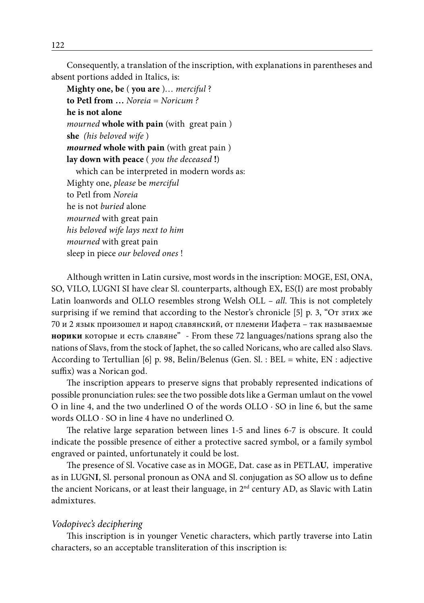Consequently, a translation of the inscription, with explanations in parentheses and absent portions added in Italics, is:

**Mighty one, be** ( **you are** )… *merciful* ? **to Petl from …** *Noreia = Noricum ?* **he is not alone** *mourned* **whole with pain** (with great pain ) **she** *(his beloved wife* ) *mourned* **whole with pain** (with great pain ) **lay down with peace** ( *you the deceased* **!**) which can be interpreted in modern words as: Mighty one, *please* be *merciful*  to Petl from *Noreia* he is not *buried* alone *mourned* with great pain *his beloved wife lays next to him mourned* with great pain sleep in piece *our beloved ones* !

Although written in Latin cursive, most words in the inscription: MOGE, ESI, ONA, SO, VILO, LUGNI SI have clear Sl. counterparts, although EX, ES(I) are most probably Latin loanwords and OLLO resembles strong Welsh OLL *– all*. This is not completely surprising if we remind that according to the Nestor's chronicle [5] p. 3, "От зтих же 70 и 2 язык произошел и народ славянский, от племени Иафета – так называемые **норики** которые и есть славяне" - From these 72 languages/nations sprang also the nations of Slavs, from the stock of Japhet, the so called Noricans, who are called also Slavs. According to Tertullian [6] p. 98, Belin/Belenus (Gen. Sl. : BEL = white, EN : adjective suffix) was a Norican god.

The inscription appears to preserve signs that probably represented indications of possible pronunciation rules: see the two possible dots like a German umlaut on the vowel O in line 4, and the two underlined O of the words OLLO  $\cdot$  SO in line 6, but the same words OLLO · SO in line 4 have no underlined O.

The relative large separation between lines 1-5 and lines 6-7 is obscure. It could indicate the possible presence of either a protective sacred symbol, or a family symbol engraved or painted, unfortunately it could be lost.

The presence of Sl. Vocative case as in MOGE, Dat. case as in PETLA**U**, imperative as in LUGN**I**, Sl. personal pronoun as ONA and Sl. conjugation as SO allow us to define the ancient Noricans, or at least their language, in 2nd century AD, as Slavic with Latin admixtures.

#### *Vodopivec's deciphering*

This inscription is in younger Venetic characters, which partly traverse into Latin characters, so an acceptable transliteration of this inscription is: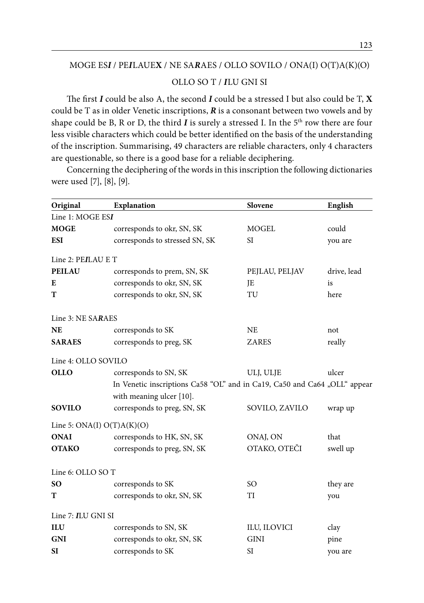### MOGE ES*I* / PE*I*LAUE**X** / NE SA*R*AES / OLLO SOVILO / ONA(I) O(T)A(K)(O) OLLO SO T / *I*LU GNI SI

The first *I* could be also A, the second *I* could be a stressed I but also could be T, **X** could be T as in older Venetic inscriptions, *R* is a consonant between two vowels and by shape could be B, R or D, the third  $I$  is surely a stressed I. In the  $5<sup>th</sup>$  row there are four less visible characters which could be better identified on the basis of the understanding of the inscription. Summarising, 49 characters are reliable characters, only 4 characters are questionable, so there is a good base for a reliable deciphering.

Concerning the deciphering of the words in this inscription the following dictionaries were used [7], [8], [9].

| Original            | Explanation                                                                                           | Slovene        | English     |  |  |
|---------------------|-------------------------------------------------------------------------------------------------------|----------------|-------------|--|--|
| Line 1: MOGE ESI    |                                                                                                       |                |             |  |  |
| <b>MOGE</b>         | corresponds to okr, SN, SK                                                                            | <b>MOGEL</b>   | could       |  |  |
| <b>ESI</b>          | corresponds to stressed SN, SK                                                                        | <b>SI</b>      | you are     |  |  |
| Line 2: PEILAU E T  |                                                                                                       |                |             |  |  |
| <b>PEILAU</b>       | corresponds to prem, SN, SK                                                                           | PEJLAU, PELJAV | drive, lead |  |  |
| E                   | corresponds to okr, SN, SK                                                                            | JE             | is          |  |  |
| T                   | corresponds to okr, SN, SK                                                                            | TU             | here        |  |  |
| Line 3: NE SARAES   |                                                                                                       |                |             |  |  |
| <b>NE</b>           | corresponds to SK                                                                                     | <b>NE</b>      | not         |  |  |
| <b>SARAES</b>       | corresponds to preg, SK                                                                               | <b>ZARES</b>   | really      |  |  |
| Line 4: OLLO SOVILO |                                                                                                       |                |             |  |  |
| <b>OLLO</b>         | corresponds to SN, SK                                                                                 | ULJ, ULJE      | ulcer       |  |  |
|                     | In Venetic inscriptions Ca58 "OL" and in Ca19, Ca50 and Ca64 "OLL" appear<br>with meaning ulcer [10]. |                |             |  |  |
| <b>SOVILO</b>       | corresponds to preg, SN, SK                                                                           | SOVILO, ZAVILO | wrap up     |  |  |
|                     | Line 5: $ONA(I) O(T)A(K)(O)$                                                                          |                |             |  |  |
| <b>ONAI</b>         | corresponds to HK, SN, SK                                                                             | ONAJ, ON       | that        |  |  |
| <b>OTAKO</b>        | corresponds to preg, SN, SK                                                                           | OTAKO, OTEČI   | swell up    |  |  |
| Line 6: OLLO SO T   |                                                                                                       |                |             |  |  |
| <b>SO</b>           | corresponds to SK                                                                                     | SO.            | they are    |  |  |
| T                   | corresponds to okr, SN, SK                                                                            | TI             | you         |  |  |
| Line 7: ILU GNI SI  |                                                                                                       |                |             |  |  |
| ILU                 | corresponds to SN, SK                                                                                 | ILU, ILOVICI   | clay        |  |  |
| <b>GNI</b>          | corresponds to okr, SN, SK                                                                            | <b>GINI</b>    | pine        |  |  |
| <b>SI</b>           | corresponds to SK                                                                                     | SI             | you are     |  |  |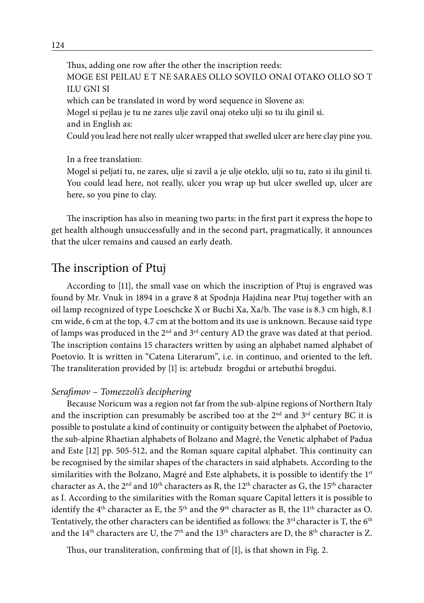Thus, adding one row after the other the inscription reeds: MOGE ESI PEILAU E T NE SARAES OLLO SOVILO ONAI OTAKO OLLO SO T ILU GNI SI which can be translated in word by word sequence in Slovene as: Mogel si pejlau je tu ne zares ulje zavil onaj oteko ulji so tu ilu ginil si. and in English as: Could you lead here not really ulcer wrapped that swelled ulcer are here clay pine you.

In a free translation:

Mogel si peljati tu, ne zares, ulje si zavil a je ulje oteklo, ulji so tu, zato si ilu ginil ti. You could lead here, not really, ulcer you wrap up but ulcer swelled up, ulcer are here, so you pine to clay.

The inscription has also in meaning two parts: in the first part it express the hope to get health although unsuccessfully and in the second part, pragmatically, it announces that the ulcer remains and caused an early death.

### The inscription of Ptuj

According to [11], the small vase on which the inscription of Ptuj is engraved was found by Mr. Vnuk in 1894 in a grave 8 at Spodnja Hajdina near Ptuj together with an oil lamp recognized of type Loeschcke X or Buchi Xa, Xa/b. The vase is 8.3 cm high, 8.1 cm wide, 6 cm at the top, 4.7 cm at the bottom and its use is unknown. Because said type of lamps was produced in the 2<sup>nd</sup> and 3<sup>rd</sup> century AD the grave was dated at that period. The inscription contains 15 characters written by using an alphabet named alphabet of Poetovio. It is written in "Catena Literarum", i.e. in continuo, and oriented to the left. The transliteration provided by [1] is: artebudz brogdui or artebuthś brogdui.

#### *Serafimov – Tomezzoli's deciphering*

Because Noricum was a region not far from the sub-alpine regions of Northern Italy and the inscription can presumably be ascribed too at the  $2<sup>nd</sup>$  and  $3<sup>rd</sup>$  century BC it is possible to postulate a kind of continuity or contiguity between the alphabet of Poetovio, the sub-alpine Rhaetian alphabets of Bolzano and Magré, the Venetic alphabet of Padua and Este [12] pp. 505-512, and the Roman square capital alphabet. This continuity can be recognised by the similar shapes of the characters in said alphabets. According to the similarities with the Bolzano, Magré and Este alphabets, it is possible to identify the 1st character as A, the  $2<sup>nd</sup>$  and  $10<sup>th</sup>$  characters as R, the  $12<sup>th</sup>$  character as G, the  $15<sup>th</sup>$  character as I. According to the similarities with the Roman square Capital letters it is possible to identify the 4<sup>th</sup> character as E, the 5<sup>th</sup> and the 9<sup>th</sup> character as B, the 11<sup>th</sup> character as O. Tentatively, the other characters can be identified as follows: the  $3^{rd}$  character is T, the  $6^{th}$ and the 14<sup>th</sup> characters are U, the 7<sup>th</sup> and the 13<sup>th</sup> characters are D, the 8<sup>th</sup> character is Z.

Thus, our transliteration, confirming that of [1], is that shown in Fig. 2.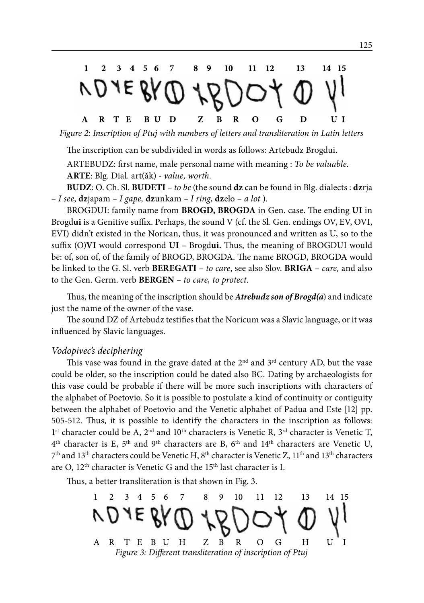

*Figure 2: Inscription of Ptuj with numbers of letters and transliteration in Latin letters*

The inscription can be subdivided in words as follows: Artebudz Brogdui.

ARTEBUDZ: first name, male personal name with meaning : *To be valuable*. **ARTE**: Blg. Dial. art(ăk) *- value, worth.*

**BUDZ**: O. Ch. Sl. **BUDETI** – *to be* (the sound **dz** can be found in Blg. dialects : **dz**rja – *I see*, **dz**japam *– I gape,* **dz**unkam *– I ring*, **dz**elo – *a lot* ).

BROGDUI: family name from **BROGD, BROGDA** in Gen. case. The ending **UI** in Brogd**ui** is a Genitive suffix. Perhaps, the sound V (cf. the Sl. Gen. endings OV, EV, OVI, EVI) didn't existed in the Norican, thus, it was pronounced and written as U, so to the suffix (O)**VI** would correspond **UI** – Brogd**ui.** Thus, the meaning of BROGDUI would be: of, son of, of the family of BROGD, BROGDA. The name BROGD, BROGDA would be linked to the G. Sl. verb **BEREGATI** – *to care*, see also Slov. **BRIGA** – *care,* and also to the Gen. Germ. verb **BERGEN** – *to care, to protect.*

Thus, the meaning of the inscription should be *Atrebudz son of Brogd(a*) and indicate just the name of the owner of the vase.

The sound DZ of Artebudz testifies that the Noricum was a Slavic language, or it was influenced by Slavic languages.

#### *Vodopivec's deciphering*

This vase was found in the grave dated at the  $2<sup>nd</sup>$  and  $3<sup>rd</sup>$  century AD, but the vase could be older, so the inscription could be dated also BC. Dating by archaeologists for this vase could be probable if there will be more such inscriptions with characters of the alphabet of Poetovio. So it is possible to postulate a kind of continuity or contiguity between the alphabet of Poetovio and the Venetic alphabet of Padua and Este [12] pp. 505-512. Thus, it is possible to identify the characters in the inscription as follows:  $1<sup>st</sup>$  character could be A,  $2<sup>nd</sup>$  and  $10<sup>th</sup>$  characters is Venetic R,  $3<sup>rd</sup>$  character is Venetic T,  $4<sup>th</sup>$  character is E,  $5<sup>th</sup>$  and  $9<sup>th</sup>$  characters are B,  $6<sup>th</sup>$  and  $14<sup>th</sup>$  characters are Venetic U,  $7<sup>th</sup>$  and  $13<sup>th</sup>$  characters could be Venetic H,  $8<sup>th</sup>$  character is Venetic Z,  $11<sup>th</sup>$  and  $13<sup>th</sup>$  characters are O, 12<sup>th</sup> character is Venetic G and the 15<sup>th</sup> last character is I.

Thus, a better transliteration is that shown in Fig. 3.

5  $\overline{2}$  $\overline{3}$  $\overline{4}$ 6 7 8 9 10 11 12 13 14 15  $H$  $Z_{\rm c}$  $U$ A R T E B U B R H *Figure 3: Different transliteration of inscription of Ptuj*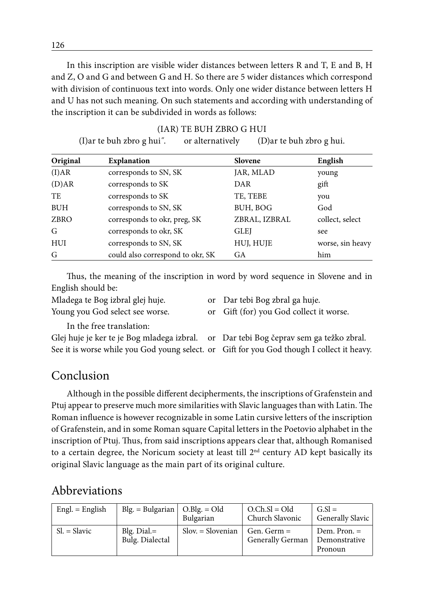In this inscription are visible wider distances between letters R and T, E and B, H and Z, O and G and between G and H. So there are 5 wider distances which correspond with division of continuous text into words. Only one wider distance between letters H and U has not such meaning. On such statements and according with understanding of the inscription it can be subdivided in words as follows:

| Original    | <b>Explanation</b>               | Slovene       | English          |
|-------------|----------------------------------|---------------|------------------|
| (I)AR       | corresponds to SN, SK            | JAR, MLAD     | young            |
| (D)AR       | corresponds to SK                | DAR           | gift             |
| TE          | corresponds to SK                | TE, TEBE      | you              |
| <b>BUH</b>  | corresponds to SN, SK            | BUH, BOG      | God              |
| <b>ZBRO</b> | corresponds to okr, preg, SK     | ZBRAL, IZBRAL | collect, select  |
| G           | corresponds to okr, SK           | <b>GLEJ</b>   | see              |
| HUI         | corresponds to SN, SK            | HUJ, HUJE     | worse, sin heavy |
| G           | could also correspond to okr, SK | GA            | him              |

(IAR) TE BUH ZBRO G HUI (I)ar te buh zbro g hui˝. or alternatively (D)ar te buh zbro g hui.

Thus, the meaning of the inscription in word by word sequence in Slovene and in English should be:

Mladega te Bog izbral glej huje. or Dar tebi Bog zbral ga huje. Young you God select see worse. or Gift (for) you God collect it worse.

In the free translation:

Glej huje je ker te je Bog mladega izbral. or Dar tebi Bog čeprav sem ga težko zbral. See it is worse while you God young select. or Gift for you God though I collect it heavy.

## Conclusion

Although in the possible different decipherments, the inscriptions of Grafenstein and Ptuj appear to preserve much more similarities with Slavic languages than with Latin. The Roman influence is however recognizable in some Latin cursive letters of the inscription of Grafenstein, and in some Roman square Capital letters in the Poetovio alphabet in the inscription of Ptuj. Thus, from said inscriptions appears clear that, although Romanised to a certain degree, the Noricum society at least till  $2<sup>nd</sup>$  century AD kept basically its original Slavic language as the main part of its original culture.

# Abbreviations

| $English = English$ | $Blg = Bulgarian$ $O.Blg = Old$     | Bulgarian          | $O.Ch.SI = Old$<br>Church Slavonic  | $G.S1 =$<br>Generally Slavic               |
|---------------------|-------------------------------------|--------------------|-------------------------------------|--------------------------------------------|
| $SI = Slavic$       | $Big.$ Dial. $=$<br>Bulg. Dialectal | $Slov = Slovenian$ | $Gen. German =$<br>Generally German | Dem. Pron. $=$<br>Demonstrative<br>Pronoun |